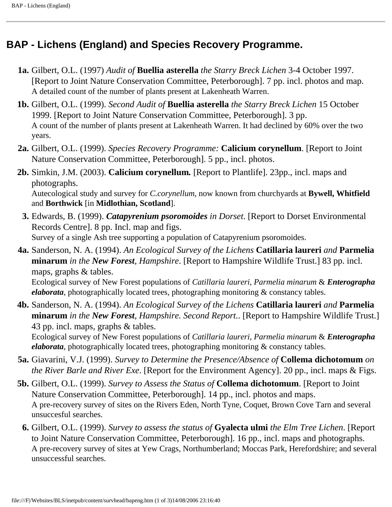## **BAP - Lichens (England) and Species Recovery Programme.**

- **1a.** Gilbert, O.L. (1997) *Audit of* **Buellia asterella** *the Starry Breck Lichen* 3-4 October 1997. [Report to Joint Nature Conservation Committee, Peterborough]. 7 pp. incl. photos and map. A detailed count of the number of plants present at Lakenheath Warren.
- **1b.** Gilbert, O.L. (1999). *Second Audit of* **Buellia asterella** *the Starry Breck Lichen* 15 October 1999. [Report to Joint Nature Conservation Committee, Peterborough]. 3 pp. A count of the number of plants present at Lakenheath Warren. It had declined by 60% over the two years.
- **2a.** Gilbert, O.L. (1999). *Species Recovery Programme:* **Calicium corynellum**. [Report to Joint Nature Conservation Committee, Peterborough]. 5 pp., incl. photos.
- **2b.** Simkin, J.M. (2003). **Calicium corynellum***.* [Report to Plantlife]. 23pp., incl. maps and photographs. Autecological study and survey for *C.corynellum*, now known from churchyards at **Bywell, Whitfield** and **Borthwick** [in **Midlothian, Scotland**].
	- **3.** Edwards, B. (1999). *Catapyrenium psoromoides in Dorset*. [Report to Dorset Environmental Records Centre]. 8 pp. Incl. map and figs. Survey of a single Ash tree supporting a population of Catapyrenium psoromoides.
- **4a.** Sanderson, N. A. (1994). *An Ecological Survey of the Lichens* **Catillaria laureri** *and* **Parmelia minarum** *in the New Forest, Hampshire*. [Report to Hampshire Wildlife Trust.] 83 pp. incl. maps, graphs & tables. Ecological survey of New Forest populations of *Catillaria laureri*, *Parmelia minarum* & *Enterographa elaborata*, photographically located trees, photographing monitoring & constancy tables.
- **4b.** Sanderson, N. A. (1994). *An Ecological Survey of the Lichens* **Catillaria laureri** *and* **Parmelia minarum** *in the New Forest, Hampshire. Second Report.*. [Report to Hampshire Wildlife Trust.] 43 pp. incl. maps, graphs & tables. Ecological survey of New Forest populations of *Catillaria laureri*, *Parmelia minarum* & *Enterographa*

*elaborata*, photographically located trees, photographing monitoring & constancy tables.

- **5a.** Giavarini, V.J. (1999). *Survey to Determine the Presence/Absence of* **Collema dichotomum** *on the River Barle and River Exe*. [Report for the Environment Agency]. 20 pp., incl. maps & Figs.
- **5b.** Gilbert, O.L. (1999). *Survey to Assess the Status of* **Collema dichotomum**. [Report to Joint Nature Conservation Committee, Peterborough]. 14 pp., incl. photos and maps. A pre-recovery survey of sites on the Rivers Eden, North Tyne, Coquet, Brown Cove Tarn and several unsuccesful searches.
	- **6.** Gilbert, O.L. (1999). *Survey to assess the status of* **Gyalecta ulmi** *the Elm Tree Lichen*. [Report to Joint Nature Conservation Committee, Peterborough]. 16 pp., incl. maps and photographs. A pre-recovery survey of sites at Yew Crags, Northumberland; Moccas Park, Herefordshire; and several unsuccessful searches.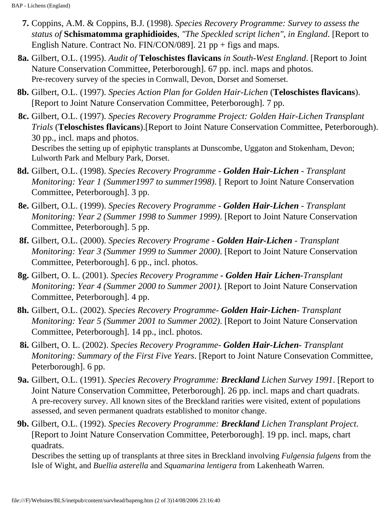- **7.** Coppins, A.M. & Coppins, B.J. (1998). *Species Recovery Programme: Survey to assess the status of* **Schismatomma graphidioides**, *"The Speckled script lichen", in England*. [Report to English Nature. Contract No. FIN/CON/089]. 21 pp + figs and maps.
- **8a.** Gilbert, O.L. (1995). *Audit of* **Teloschistes flavicans** *in South-West England*. [Report to Joint Nature Conservation Committee, Peterborough]. 67 pp. incl. maps and photos. Pre-recovery survey of the species in Cornwall, Devon, Dorset and Somerset.
- **8b.** Gilbert, O.L. (1997). *Species Action Plan for Golden Hair-Lichen* (**Teloschistes flavicans**). [Report to Joint Nature Conservation Committee, Peterborough]. 7 pp.
- **8c.** Gilbert, O.L. (1997). *Species Recovery Programme Project: Golden Hair-Lichen Transplant Trials* (**Teloschistes flavicans**).[Report to Joint Nature Conservation Committee, Peterborough). 30 pp., incl. maps and photos. Describes the setting up of epiphytic transplants at Dunscombe, Uggaton and Stokenham, Devon; Lulworth Park and Melbury Park, Dorset.
- **8d.** Gilbert, O.L. (1998). *Species Recovery Programme Golden Hair-Lichen Transplant Monitoring: Year 1 (Summer1997 to summer1998)*. [ Report to Joint Nature Conservation Committee, Peterborough]. 3 pp.
- **8e.** Gilbert, O.L. (1999). *Species Recovery Programme Golden Hair-Lichen Transplant Monitoring: Year 2 (Summer 1998 to Summer 1999)*. [Report to Joint Nature Conservation Committee, Peterborough]. 5 pp.
- **8f.** Gilbert, O.L. (2000). *Species Recovery Programe Golden Hair-Lichen Transplant Monitoring: Year 3 (Summer 1999 to Summer 2000)*. [Report to Joint Nature Conservation Committee, Peterborough]. 6 pp., incl. photos.
- **8g.** Gilbert, O. L. (2001). *Species Recovery Programme Golden Hair Lichen-Transplant Monitoring: Year 4 (Summer 2000 to Summer 2001).* [Report to Joint Nature Conservation Committee, Peterborough]. 4 pp.
- **8h.** Gilbert, O.L. (2002). *Species Recovery Programme- Golden Hair-Lichen Transplant Monitoring: Year 5 (Summer 2001 to Summer 2002)*. [Report to Joint Nature Conservation Committee, Peterborough]. 14 pp., incl. photos.
- **8i.** Gilbert, O. L. (2002). *Species Recovery Programme- Golden Hair-Lichen Transplant Monitoring: Summary of the First Five Years*. [Report to Joint Nature Consevation Committee, Peterborough]. 6 pp.
- **9a.** Gilbert, O.L. (1991). *Species Recovery Programme: Breckland Lichen Survey 1991*. [Report to Joint Nature Conservation Committee, Peterborough]. 26 pp. incl. maps and chart quadrats. A pre-recovery survey. All known sites of the Breckland rarities were visited, extent of populations assessed, and seven permanent quadrats established to monitor change.
- **9b.** Gilbert, O.L. (1992). *Species Recovery Programme: Breckland Lichen Transplant Project*. [Report to Joint Nature Conservation Committee, Peterborough]. 19 pp. incl. maps, chart quadrats.

Describes the setting up of transplants at three sites in Breckland involving *Fulgensia fulgens* from the Isle of Wight, and *Buellia asterella* and *Squamarina lentigera* from Lakenheath Warren.